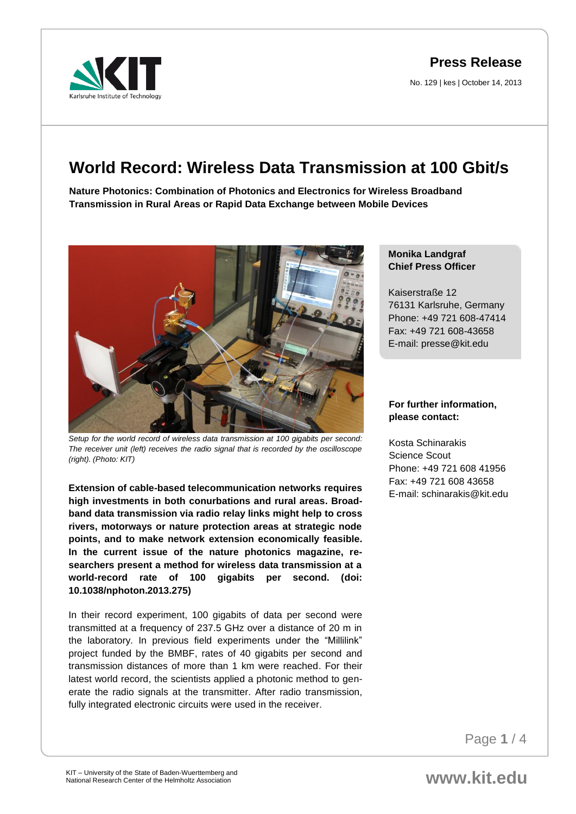arkruhe Institute of Technology

## **Press Release**

No. 129 | kes | October 14, 2013

## **World Record: Wireless Data Transmission at 100 Gbit/s**

**Nature Photonics: Combination of Photonics and Electronics for Wireless Broadband Transmission in Rural Areas or Rapid Data Exchange between Mobile Devices**



*Setup for the world record of wireless data transmission at 100 gigabits per second: The receiver unit (left) receives the radio signal that is recorded by the oscilloscope (right). (Photo: KIT)*

**Extension of cable-based telecommunication networks requires high investments in both conurbations and rural areas. Broadband data transmission via radio relay links might help to cross rivers, motorways or nature protection areas at strategic node points, and to make network extension economically feasible. In the current issue of the nature photonics magazine, researchers present a method for wireless data transmission at a world-record rate of 100 gigabits per second. (doi: 10.1038/nphoton.2013.275)**

In their record experiment, 100 gigabits of data per second were transmitted at a frequency of 237.5 GHz over a distance of 20 m in the laboratory. In previous field experiments under the "Millilink" project funded by the BMBF, rates of 40 gigabits per second and transmission distances of more than 1 km were reached. For their latest world record, the scientists applied a photonic method to generate the radio signals at the transmitter. After radio transmission, fully integrated electronic circuits were used in the receiver.

## **Monika Landgraf Chief Press Officer**

Kaiserstraße 12 76131 Karlsruhe, Germany Phone: +49 721 608-47414 Fax: +49 721 608-43658 E-mail: presse@kit.edu

## **For further information, please contact:**

Kosta Schinarakis Science Scout Phone: +49 721 608 41956 Fax: +49 721 608 43658 E-mail: schinarakis@kit.edu

Page **1** / 4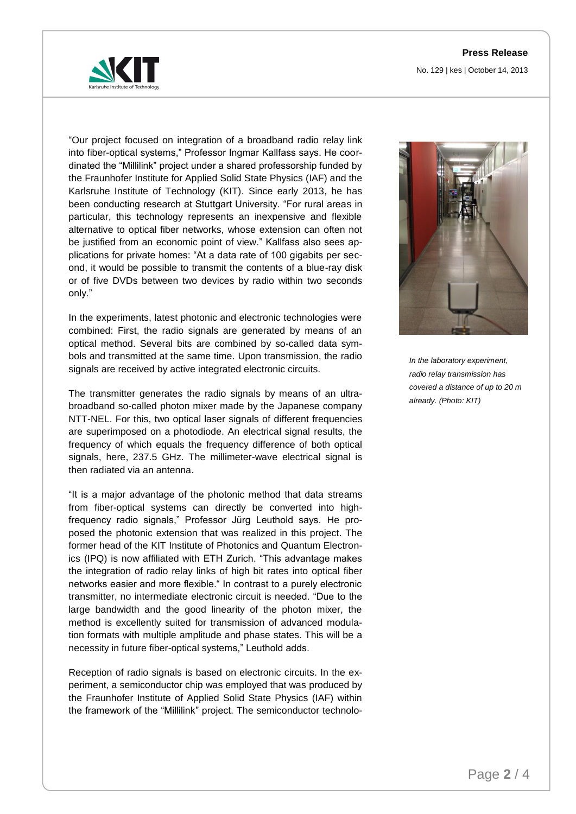

"Our project focused on integration of a broadband radio relay link into fiber-optical systems," Professor Ingmar Kallfass says. He coordinated the "Millilink" project under a shared professorship funded by the Fraunhofer Institute for Applied Solid State Physics (IAF) and the Karlsruhe Institute of Technology (KIT). Since early 2013, he has been conducting research at Stuttgart University. "For rural areas in particular, this technology represents an inexpensive and flexible alternative to optical fiber networks, whose extension can often not be justified from an economic point of view." Kallfass also sees applications for private homes: "At a data rate of 100 gigabits per second, it would be possible to transmit the contents of a blue-ray disk or of five DVDs between two devices by radio within two seconds only."

In the experiments, latest photonic and electronic technologies were combined: First, the radio signals are generated by means of an optical method. Several bits are combined by so-called data symbols and transmitted at the same time. Upon transmission, the radio signals are received by active integrated electronic circuits.

The transmitter generates the radio signals by means of an ultrabroadband so-called photon mixer made by the Japanese company NTT-NEL. For this, two optical laser signals of different frequencies are superimposed on a photodiode. An electrical signal results, the frequency of which equals the frequency difference of both optical signals, here, 237.5 GHz. The millimeter-wave electrical signal is then radiated via an antenna.

"It is a major advantage of the photonic method that data streams from fiber-optical systems can directly be converted into highfrequency radio signals," Professor Jürg Leuthold says. He proposed the photonic extension that was realized in this project. The former head of the KIT Institute of Photonics and Quantum Electronics (IPQ) is now affiliated with ETH Zurich. "This advantage makes the integration of radio relay links of high bit rates into optical fiber networks easier and more flexible." In contrast to a purely electronic transmitter, no intermediate electronic circuit is needed. "Due to the large bandwidth and the good linearity of the photon mixer, the method is excellently suited for transmission of advanced modulation formats with multiple amplitude and phase states. This will be a necessity in future fiber-optical systems," Leuthold adds.

Reception of radio signals is based on electronic circuits. In the experiment, a semiconductor chip was employed that was produced by the Fraunhofer Institute of Applied Solid State Physics (IAF) within the framework of the "Millilink" project. The semiconductor technolo-



*In the laboratory experiment, radio relay transmission has covered a distance of up to 20 m already. (Photo: KIT)*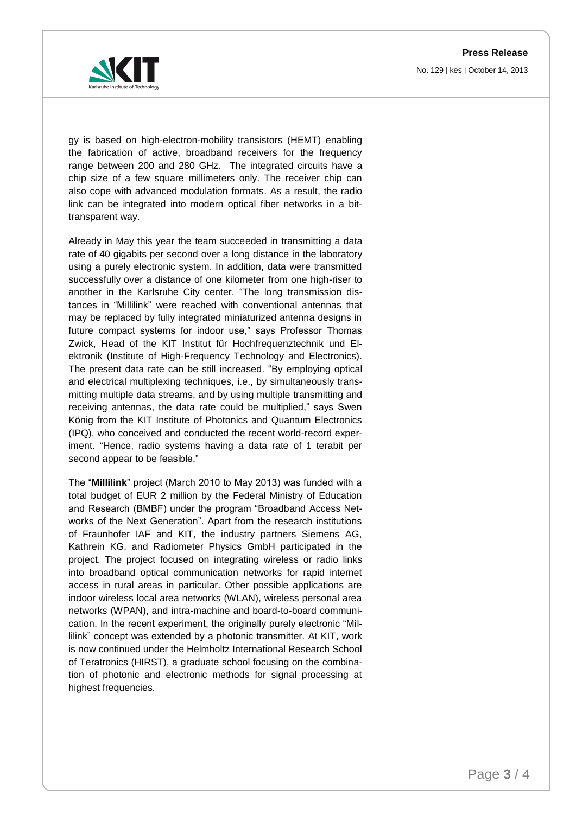**Press Release** No. 129 | kes | October 14, 2013



gy is based on high-electron-mobility transistors (HEMT) enabling the fabrication of active, broadband receivers for the frequency range between 200 and 280 GHz. The integrated circuits have a chip size of a few square millimeters only. The receiver chip can also cope with advanced modulation formats. As a result, the radio link can be integrated into modern optical fiber networks in a bittransparent way.

Already in May this year the team succeeded in transmitting a data rate of 40 gigabits per second over a long distance in the laboratory using a purely electronic system. In addition, data were transmitted successfully over a distance of one kilometer from one high-riser to another in the Karlsruhe City center. "The long transmission distances in "Millilink" were reached with conventional antennas that may be replaced by fully integrated miniaturized antenna designs in future compact systems for indoor use," says Professor Thomas Zwick, Head of the KIT Institut für Hochfrequenztechnik und Elektronik (Institute of High-Frequency Technology and Electronics). The present data rate can be still increased. "By employing optical and electrical multiplexing techniques, i.e., by simultaneously transmitting multiple data streams, and by using multiple transmitting and receiving antennas, the data rate could be multiplied," says Swen König from the KIT Institute of Photonics and Quantum Electronics (IPQ), who conceived and conducted the recent world-record experiment. "Hence, radio systems having a data rate of 1 terabit per second appear to be feasible."

The "**Millilink**" project (March 2010 to May 2013) was funded with a total budget of EUR 2 million by the Federal Ministry of Education and Research (BMBF) under the program "Broadband Access Networks of the Next Generation". Apart from the research institutions of Fraunhofer IAF and KIT, the industry partners Siemens AG, Kathrein KG, and Radiometer Physics GmbH participated in the project. The project focused on integrating wireless or radio links into broadband optical communication networks for rapid internet access in rural areas in particular. Other possible applications are indoor wireless local area networks (WLAN), wireless personal area networks (WPAN), and intra-machine and board-to-board communication. In the recent experiment, the originally purely electronic "Millilink" concept was extended by a photonic transmitter. At KIT, work is now continued under the Helmholtz International Research School of Teratronics (HIRST), a graduate school focusing on the combination of photonic and electronic methods for signal processing at highest frequencies.